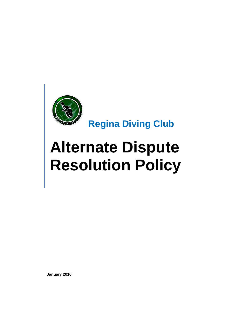

 **Regina Diving Club**

# **Alternate Dispute Resolution Policy**

**January 2016**